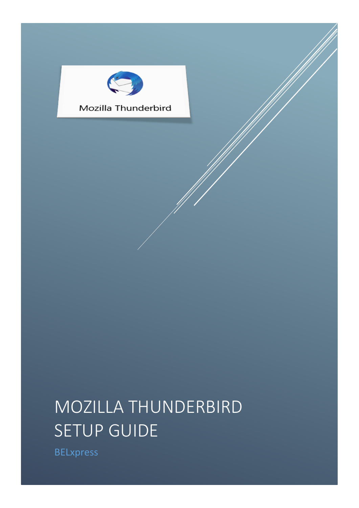

# MOZILLA THUNDERBIRD SETUP GUIDE

BELxpress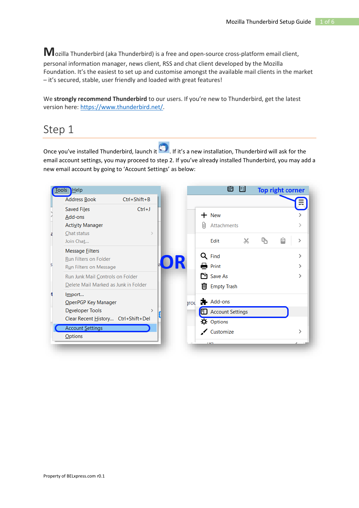**M**ozilla Thunderbird (aka Thunderbird) is a free and open-source cross-platform email client, personal information manager, news client, RSS and chat client developed by the Mozilla Foundation. It's the easiest to set up and customise amongst the available mail clients in the market – it's secured, stable, user friendly and loaded with great features!

We **strongly recommend Thunderbird** to our users. If you're new to Thunderbird, get the latest version here: [https://www.thunderbird.net/.](https://www.thunderbird.net/)

#### Step 1

Once you've installed Thunderbird, launch it  $\bigodot$ . If it's a new installation, Thunderbird will ask for the email account settings, you may proceed to step 2. If you've already installed Thunderbird, you may add a new email account by going to 'Account Settings' as below:

| ools Help                            |                    |             |   | 崮                       | 罔 | <b>Top right corner</b> |               |
|--------------------------------------|--------------------|-------------|---|-------------------------|---|-------------------------|---------------|
| Address Book                         | $Ctrl + Shift + B$ |             |   |                         |   |                         |               |
| Saved Files                          | $Ctrl + J$         |             |   |                         |   |                         |               |
| Add-ons                              |                    |             |   | <b>New</b>              |   |                         |               |
| <b>Activity Manager</b>              |                    |             |   | Attachments             |   |                         |               |
| Chat status                          |                    |             |   |                         |   |                         |               |
| Join Chat                            |                    |             |   | Edit                    | X | 巨                       | $\mathcal{P}$ |
| Message Eilters                      |                    |             |   |                         |   |                         |               |
| Run Filters on Folder                |                    |             | Q | Find                    |   |                         |               |
| Run Filters on Message               |                    |             |   | Print                   |   |                         |               |
| Run Junk Mail Controls on Folder     |                    |             |   | <b>门</b> Save As        |   |                         |               |
| Delete Mail Marked as Junk in Folder |                    |             | 圃 | <b>Empty Trash</b>      |   |                         |               |
| Import                               |                    |             |   |                         |   |                         |               |
| OpenPGP Key Manager                  |                    | <b>Irol</b> |   | Add-ons                 |   |                         |               |
| Developer Tools                      |                    |             | m | <b>Account Settings</b> |   |                         |               |
| Clear Recent History Ctrl+Shift+Del  |                    |             | ᅀ | Options                 |   |                         |               |
| <b>Account Settings</b>              |                    |             |   | Customize               |   |                         |               |
| <b>Options</b>                       |                    |             |   |                         |   |                         |               |
|                                      |                    |             |   | m                       |   |                         |               |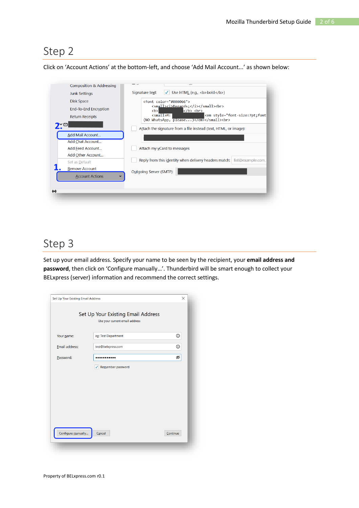Click on 'Account Actions' at the bottom-left, and choose 'Add Mail Account...' as shown below:



# Step 3

Set up your email address. Specify your name to be seen by the recipient, your **email address and password**, then click on 'Configure manually…'. Thunderbird will be smart enough to collect your BELxpress (server) information and recommend the correct settings.

|                    | Set Up Your Existing Email Address<br>Use your current email address |          |
|--------------------|----------------------------------------------------------------------|----------|
| Your name:         | eg: Test Department                                                  | ⊙        |
| Email address:     | test@belxpress.com                                                   | ⊙        |
| Password:          |                                                                      | ø        |
|                    | Remember password<br>$\mathcal{I}$                                   |          |
| Configure manually | Cancel                                                               | Continue |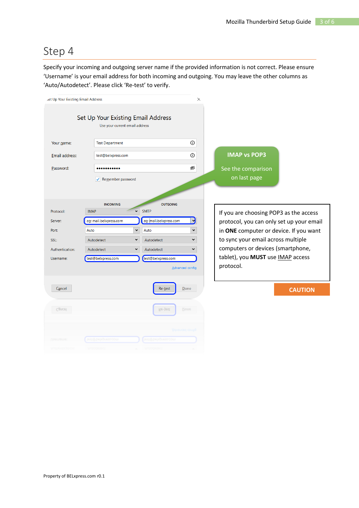Specify your incoming and outgoing server name if the provided information is not correct. Please ensure 'Username' is your email address for both incoming and outgoing. You may leave the other columns as 'Auto/Autodetect'. Please click 'Re-test' to verify.

| set Up Your Existing Email Address |                                                                      |                                | $\times$     |                                          |
|------------------------------------|----------------------------------------------------------------------|--------------------------------|--------------|------------------------------------------|
|                                    | Set Up Your Existing Email Address<br>Use your current email address |                                |              |                                          |
| Your name:                         | <b>Test Department</b>                                               |                                | $\odot$      |                                          |
| Email address:                     | test@belxpress.com                                                   |                                | $\odot$      | <b>IMAP vs POP3</b>                      |
| Password:                          |                                                                      |                                | Ø            | See the comparison                       |
|                                    | $\sqrt{\phantom{a}}$ Remember password                               |                                |              | on last page                             |
|                                    |                                                                      |                                |              |                                          |
| Protocol:                          | <b>INCOMING</b><br><b>IMAP</b><br>$\checkmark$                       | <b>OUTGOING</b><br><b>SMTP</b> |              | If you are choosing POP3 as the access   |
| Server:                            | eg: mail.belxpress.com                                               | eg: mail.belxpress.com         | Ч            | protocol, you can only set up your email |
| Port:                              | Auto<br>$\checkmark$                                                 | Auto                           | $\check{~}$  | in ONE computer or device. If you want   |
| SSL:                               | $\checkmark$<br>Autodetect                                           | Autodetect                     | $\checkmark$ | to sync your email across multiple       |
| Authentication:                    | Autodetect<br>v                                                      | Autodetect                     | $\check{~}$  | computers or devices (smartphone,        |
| Username:                          | test@belxpress.com                                                   | test@belxpress.com             |              | tablet), you MUST use IMAP access        |
|                                    |                                                                      | Advanced config                |              | protocol.                                |
|                                    |                                                                      |                                |              |                                          |
| Cancel                             |                                                                      | Done<br>Re-test                |              | <b>CAUTION</b>                           |
| $C$ ancel                          |                                                                      | Re-test<br>Done                |              |                                          |
|                                    |                                                                      |                                |              |                                          |
|                                    | test@bebtpress.com                                                   | (621@D6DDL622°COU              |              |                                          |
|                                    |                                                                      |                                |              |                                          |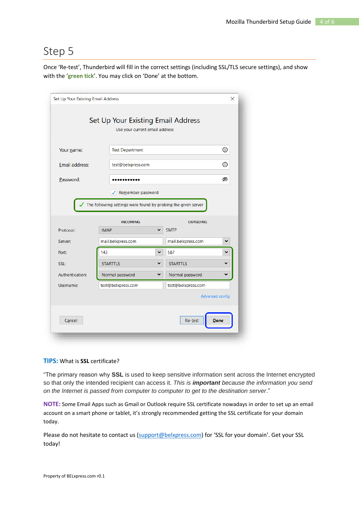Once 'Re-test', Thunderbird will fill in the correct settings (including SSL/TLS secure settings), and show with the '**green tick**'. You may click on 'Done' at the bottom.

| Set Up Your Existing Email Address                            |                                                                      | ×                                                 |  |  |  |  |
|---------------------------------------------------------------|----------------------------------------------------------------------|---------------------------------------------------|--|--|--|--|
|                                                               | Set Up Your Existing Email Address<br>Use your current email address |                                                   |  |  |  |  |
| Your name:                                                    | <b>Test Department</b>                                               | ⊙                                                 |  |  |  |  |
| Email address:                                                | test@belxpress.com                                                   |                                                   |  |  |  |  |
| Password:                                                     |                                                                      |                                                   |  |  |  |  |
| Remember password                                             |                                                                      |                                                   |  |  |  |  |
| The following settings were found by probing the given server |                                                                      |                                                   |  |  |  |  |
|                                                               | <b>INCOMING</b>                                                      | <b>OUTGOING</b>                                   |  |  |  |  |
| Protocol:<br>Server:                                          | <b>IMAP</b><br>mail.belxpress.com                                    | <b>SMTP</b><br>$\checkmark$<br>mail.belxpress.com |  |  |  |  |
| Port:                                                         | 143<br>v                                                             | 587<br>v                                          |  |  |  |  |
| SSL:                                                          | <b>STARTTLS</b>                                                      | <b>STARTTLS</b><br>$\checkmark$                   |  |  |  |  |
| Authentication:                                               | Normal password<br>$\check{ }$                                       | Normal password<br>◡                              |  |  |  |  |
| Username:                                                     | test@belxpress.com                                                   | test@belxpress.com                                |  |  |  |  |
|                                                               |                                                                      | Advanced config                                   |  |  |  |  |
| Cancel                                                        |                                                                      | <b>Done</b><br>Re-test                            |  |  |  |  |

#### **TIPS:** What is **SSL** certificate?

"The primary reason why **SSL** is used to keep sensitive information sent across the Internet encrypted so that only the intended recipient can access it. *This is important because the information you send on the Internet is passed from computer to computer to get to the destination server*."

**NOTE:** Some Email Apps such as Gmail or Outlook require SSL certificate nowadays in order to set up an email account on a smart phone or tablet, it's strongly recommended getting the SSL certificate for your domain today.

Please do not hesitate to contact us [\(support@belxpress.com](mailto:support@belxpress.com)) for 'SSL for your domain'. Get your SSL today!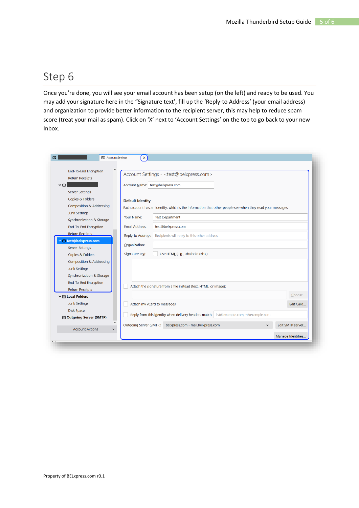Once you're done, you will see your email account has been setup (on the left) and ready to be used. You may add your signature here in the "Signature text', fill up the 'Reply-to Address' (your email address) and organization to provide better information to the recipient server, this may help to reduce spam score (treat your mail as spam). Click on 'X' next to 'Account Settings' on the top to go back to your new Inbox.

| $\land$<br><b>End-To-End Encryption</b> |                                  | Account Settings - <test@belxpress.com></test@belxpress.com>                                               |                  |
|-----------------------------------------|----------------------------------|------------------------------------------------------------------------------------------------------------|------------------|
| <b>Return Receipts</b>                  |                                  |                                                                                                            |                  |
| $\vee$ $\heartsuit$                     | Account Name: test@belxpress.com |                                                                                                            |                  |
| <b>Server Settings</b>                  |                                  |                                                                                                            |                  |
| Copies & Folders                        | <b>Default Identity</b>          |                                                                                                            |                  |
| <b>Composition &amp; Addressing</b>     |                                  | Each account has an identity, which is the information that other people see when they read your messages. |                  |
| <b>Junk Settings</b>                    |                                  |                                                                                                            |                  |
| Synchronization & Storage               | Your Name:                       | <b>Test Department</b>                                                                                     |                  |
| <b>End-To-End Encryption</b>            | <b>Email Address:</b>            | test@belxpress.com                                                                                         |                  |
| <b>Return Receipts</b>                  | Reply-to Address:                | Recipients will reply to this other address                                                                |                  |
| □ test@belxpress.com                    | Organization:                    |                                                                                                            |                  |
| <b>Server Settings</b>                  |                                  |                                                                                                            |                  |
| Copies & Folders                        | Signature text:                  | Use HTML (e.g., <b>bold</b> )                                                                              |                  |
| <b>Composition &amp; Addressing</b>     |                                  |                                                                                                            |                  |
| <b>Junk Settings</b>                    |                                  |                                                                                                            |                  |
| Synchronization & Storage               |                                  |                                                                                                            |                  |
| <b>End-To-End Encryption</b>            |                                  | Attach the signature from a file instead (text, HTML, or image):                                           |                  |
| <b>Return Receipts</b>                  |                                  |                                                                                                            | Choose           |
| $\vee$ $\Box$ Local Folders             |                                  |                                                                                                            |                  |
| <b>Junk Settings</b>                    |                                  | Attach my vcard to messages                                                                                | Edit Card        |
| <b>Disk Space</b>                       |                                  | Reply from this identity when delivery headers match: list@example.com, *@example.com                      |                  |
| 图 Outgoing Server (SMTP)                |                                  |                                                                                                            |                  |
| <b>Account Actions</b>                  | Outgoing Server (SMTP):          | belxpress.com - mail.belxpress.com                                                                         | Edit SMTP server |
|                                         |                                  |                                                                                                            |                  |